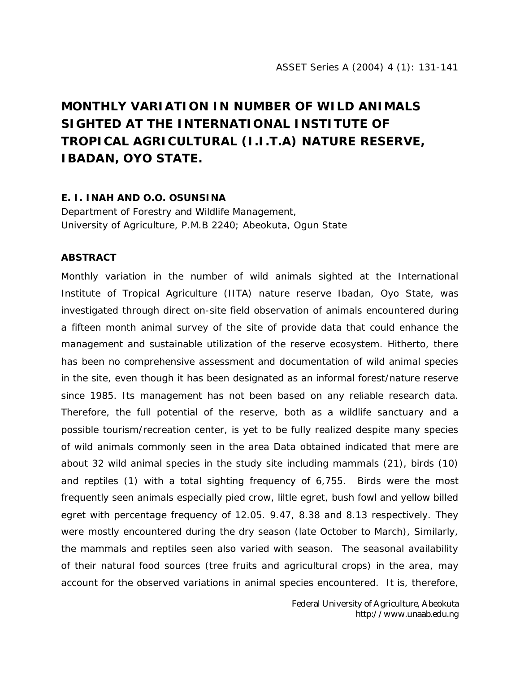## **MONTHLY VARIATION IN NUMBER OF WILD ANIMALS SIGHTED AT THE INTERNATIONAL INSTITUTE OF TROPICAL AGRICULTURAL (I.I.T.A) NATURE RESERVE, IBADAN, OYO STATE.**

## **E. I. INAH AND O.O. OSUNSINA**

Department of Forestry and Wildlife Management, University of Agriculture, P.M.B 2240; Abeokuta, Ogun State

## **ABSTRACT**

Monthly variation in the number of wild animals sighted at the International Institute of Tropical Agriculture (IITA) nature reserve Ibadan, Oyo State, was investigated through direct on-site field observation of animals encountered during a fifteen month animal survey of the site of provide data that could enhance the management and sustainable utilization of the reserve ecosystem. Hitherto, there has been no comprehensive assessment and documentation of wild animal species in the site, even though it has been designated as an informal forest/nature reserve since 1985. Its management has not been based on any reliable research data. Therefore, the full potential of the reserve, both as a wildlife sanctuary and a possible tourism/recreation center, is yet to be fully realized despite many species of wild animals commonly seen in the area Data obtained indicated that mere are about 32 wild animal species in the study site including mammals (21), birds (10) and reptiles (1) with a total sighting frequency of 6,755. Birds were the most frequently seen animals especially pied crow, liltle egret, bush fowl and yellow billed egret with percentage frequency of 12.05. 9.47, 8.38 and 8.13 respectively. They were mostly encountered during the dry season (late October to March), Similarly, the mammals and reptiles seen also varied with season. The seasonal availability of their natural food sources (tree fruits and agricultural crops) in the area, may account for the observed variations in animal species encountered. It is, therefore,

> Federal University of Agriculture, Abeokuta http://www.unaab.edu.ng